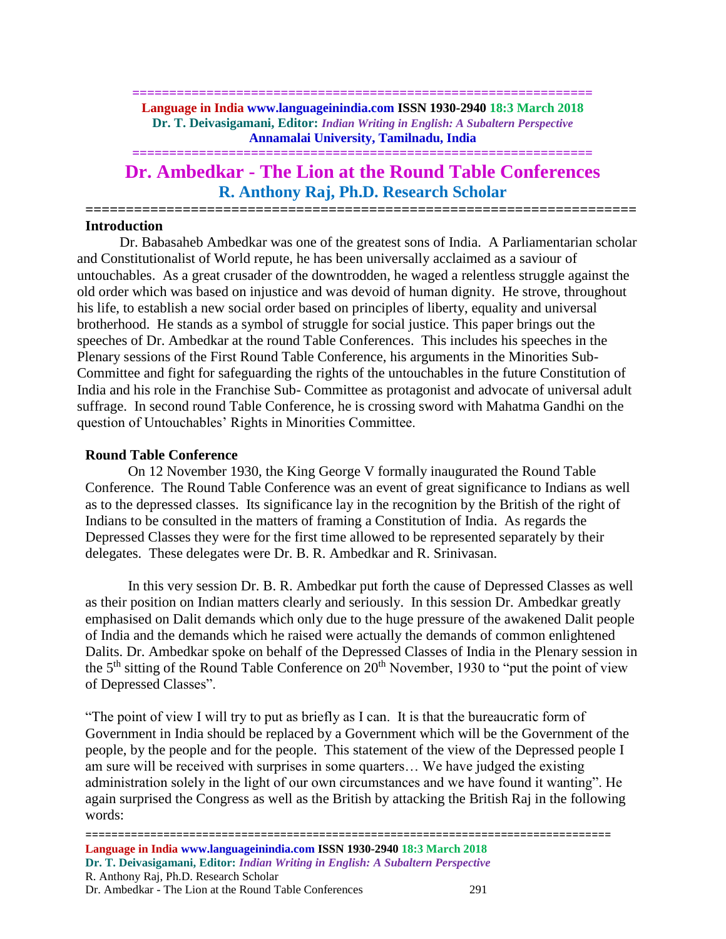**============================================================== Language in India www.languageinindia.com ISSN 1930-2940 18:3 March 2018 Dr. T. Deivasigamani, Editor:** *Indian Writing in English: A Subaltern Perspective* **Annamalai University, Tamilnadu, India**

**==============================================================**

# **Dr. Ambedkar - The Lion at the Round Table Conferences R. Anthony Raj, Ph.D. Research Scholar**

**====================================================================**

# **Introduction**

Dr. Babasaheb Ambedkar was one of the greatest sons of India. A Parliamentarian scholar and Constitutionalist of World repute, he has been universally acclaimed as a saviour of untouchables. As a great crusader of the downtrodden, he waged a relentless struggle against the old order which was based on injustice and was devoid of human dignity. He strove, throughout his life, to establish a new social order based on principles of liberty, equality and universal brotherhood. He stands as a symbol of struggle for social justice. This paper brings out the speeches of Dr. Ambedkar at the round Table Conferences. This includes his speeches in the Plenary sessions of the First Round Table Conference, his arguments in the Minorities Sub-Committee and fight for safeguarding the rights of the untouchables in the future Constitution of India and his role in the Franchise Sub- Committee as protagonist and advocate of universal adult suffrage. In second round Table Conference, he is crossing sword with Mahatma Gandhi on the question of Untouchables' Rights in Minorities Committee.

# **Round Table Conference**

On 12 November 1930, the King George V formally inaugurated the Round Table Conference. The Round Table Conference was an event of great significance to Indians as well as to the depressed classes. Its significance lay in the recognition by the British of the right of Indians to be consulted in the matters of framing a Constitution of India. As regards the Depressed Classes they were for the first time allowed to be represented separately by their delegates. These delegates were Dr. B. R. Ambedkar and R. Srinivasan.

In this very session Dr. B. R. Ambedkar put forth the cause of Depressed Classes as well as their position on Indian matters clearly and seriously. In this session Dr. Ambedkar greatly emphasised on Dalit demands which only due to the huge pressure of the awakened Dalit people of India and the demands which he raised were actually the demands of common enlightened Dalits. Dr. Ambedkar spoke on behalf of the Depressed Classes of India in the Plenary session in the  $5<sup>th</sup>$  sitting of the Round Table Conference on  $20<sup>th</sup>$  November, 1930 to "put the point of view of Depressed Classes".

"The point of view I will try to put as briefly as I can. It is that the bureaucratic form of Government in India should be replaced by a Government which will be the Government of the people, by the people and for the people. This statement of the view of the Depressed people I am sure will be received with surprises in some quarters… We have judged the existing administration solely in the light of our own circumstances and we have found it wanting". He again surprised the Congress as well as the British by attacking the British Raj in the following words: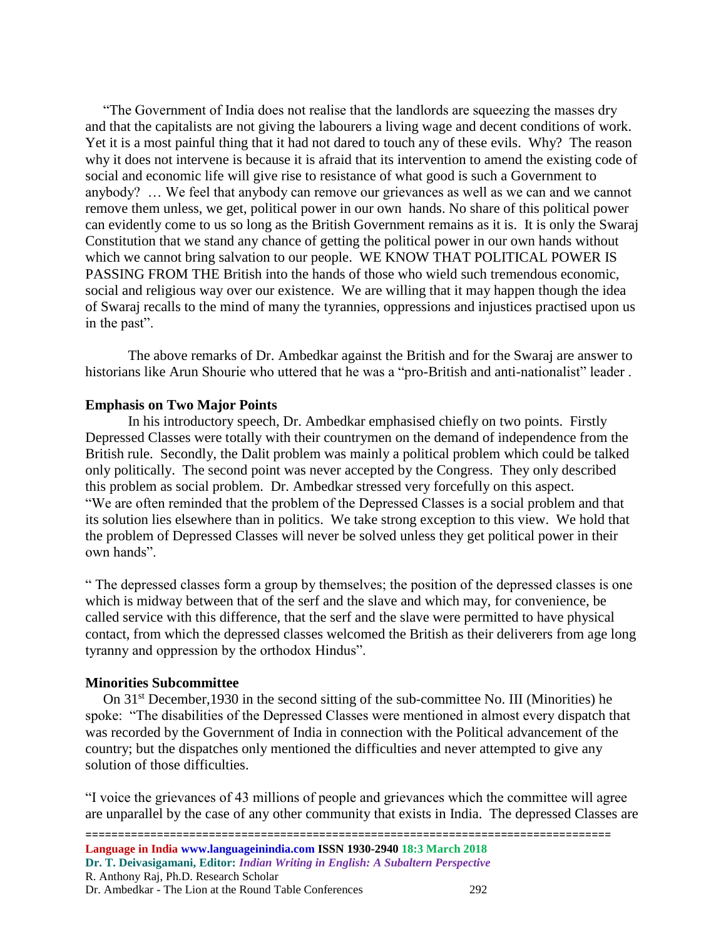"The Government of India does not realise that the landlords are squeezing the masses dry and that the capitalists are not giving the labourers a living wage and decent conditions of work. Yet it is a most painful thing that it had not dared to touch any of these evils. Why? The reason why it does not intervene is because it is afraid that its intervention to amend the existing code of social and economic life will give rise to resistance of what good is such a Government to anybody? … We feel that anybody can remove our grievances as well as we can and we cannot remove them unless, we get, political power in our own hands. No share of this political power can evidently come to us so long as the British Government remains as it is. It is only the Swaraj Constitution that we stand any chance of getting the political power in our own hands without which we cannot bring salvation to our people. WE KNOW THAT POLITICAL POWER IS PASSING FROM THE British into the hands of those who wield such tremendous economic, social and religious way over our existence. We are willing that it may happen though the idea of Swaraj recalls to the mind of many the tyrannies, oppressions and injustices practised upon us in the past".

The above remarks of Dr. Ambedkar against the British and for the Swaraj are answer to historians like Arun Shourie who uttered that he was a "pro-British and anti-nationalist" leader .

### **Emphasis on Two Major Points**

In his introductory speech, Dr. Ambedkar emphasised chiefly on two points. Firstly Depressed Classes were totally with their countrymen on the demand of independence from the British rule. Secondly, the Dalit problem was mainly a political problem which could be talked only politically. The second point was never accepted by the Congress. They only described this problem as social problem. Dr. Ambedkar stressed very forcefully on this aspect. "We are often reminded that the problem of the Depressed Classes is a social problem and that its solution lies elsewhere than in politics. We take strong exception to this view. We hold that the problem of Depressed Classes will never be solved unless they get political power in their own hands".

" The depressed classes form a group by themselves; the position of the depressed classes is one which is midway between that of the serf and the slave and which may, for convenience, be called service with this difference, that the serf and the slave were permitted to have physical contact, from which the depressed classes welcomed the British as their deliverers from age long tyranny and oppression by the orthodox Hindus".

#### **Minorities Subcommittee**

On  $31<sup>st</sup>$  December, 1930 in the second sitting of the sub-committee No. III (Minorities) he spoke: "The disabilities of the Depressed Classes were mentioned in almost every dispatch that was recorded by the Government of India in connection with the Political advancement of the country; but the dispatches only mentioned the difficulties and never attempted to give any solution of those difficulties.

"I voice the grievances of 43 millions of people and grievances which the committee will agree are unparallel by the case of any other community that exists in India. The depressed Classes are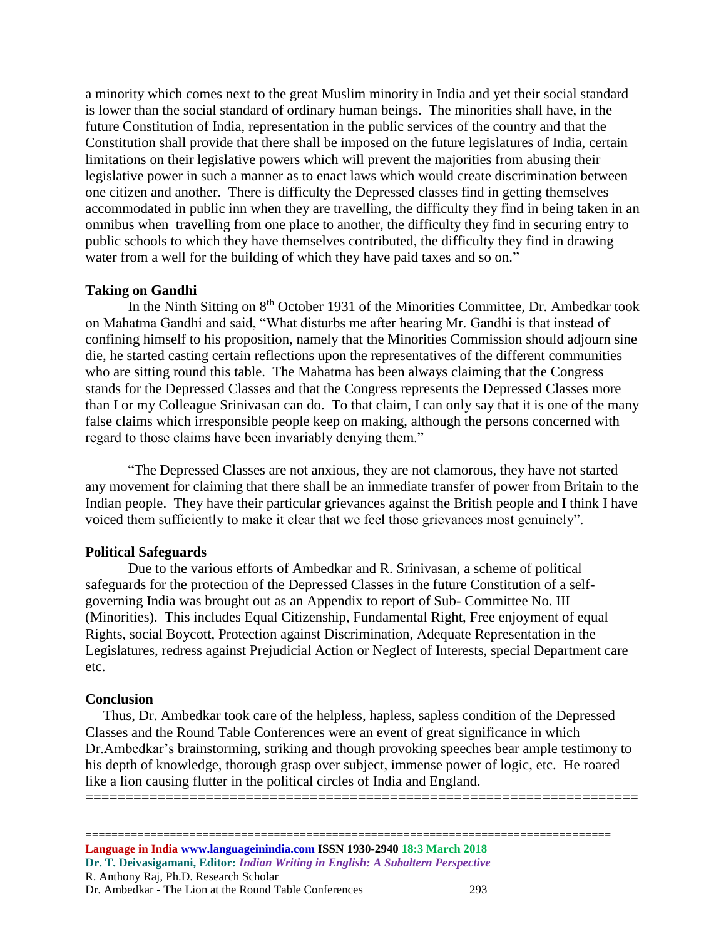a minority which comes next to the great Muslim minority in India and yet their social standard is lower than the social standard of ordinary human beings. The minorities shall have, in the future Constitution of India, representation in the public services of the country and that the Constitution shall provide that there shall be imposed on the future legislatures of India, certain limitations on their legislative powers which will prevent the majorities from abusing their legislative power in such a manner as to enact laws which would create discrimination between one citizen and another. There is difficulty the Depressed classes find in getting themselves accommodated in public inn when they are travelling, the difficulty they find in being taken in an omnibus when travelling from one place to another, the difficulty they find in securing entry to public schools to which they have themselves contributed, the difficulty they find in drawing water from a well for the building of which they have paid taxes and so on."

#### **Taking on Gandhi**

In the Ninth Sitting on 8<sup>th</sup> October 1931 of the Minorities Committee, Dr. Ambedkar took on Mahatma Gandhi and said, "What disturbs me after hearing Mr. Gandhi is that instead of confining himself to his proposition, namely that the Minorities Commission should adjourn sine die, he started casting certain reflections upon the representatives of the different communities who are sitting round this table. The Mahatma has been always claiming that the Congress stands for the Depressed Classes and that the Congress represents the Depressed Classes more than I or my Colleague Srinivasan can do. To that claim, I can only say that it is one of the many false claims which irresponsible people keep on making, although the persons concerned with regard to those claims have been invariably denying them."

"The Depressed Classes are not anxious, they are not clamorous, they have not started any movement for claiming that there shall be an immediate transfer of power from Britain to the Indian people. They have their particular grievances against the British people and I think I have voiced them sufficiently to make it clear that we feel those grievances most genuinely".

#### **Political Safeguards**

Due to the various efforts of Ambedkar and R. Srinivasan, a scheme of political safeguards for the protection of the Depressed Classes in the future Constitution of a selfgoverning India was brought out as an Appendix to report of Sub- Committee No. III (Minorities). This includes Equal Citizenship, Fundamental Right, Free enjoyment of equal Rights, social Boycott, Protection against Discrimination, Adequate Representation in the Legislatures, redress against Prejudicial Action or Neglect of Interests, special Department care etc.

#### **Conclusion**

 Thus, Dr. Ambedkar took care of the helpless, hapless, sapless condition of the Depressed Classes and the Round Table Conferences were an event of great significance in which Dr.Ambedkar's brainstorming, striking and though provoking speeches bear ample testimony to his depth of knowledge, thorough grasp over subject, immense power of logic, etc. He roared like a lion causing flutter in the political circles of India and England. =====================================================================